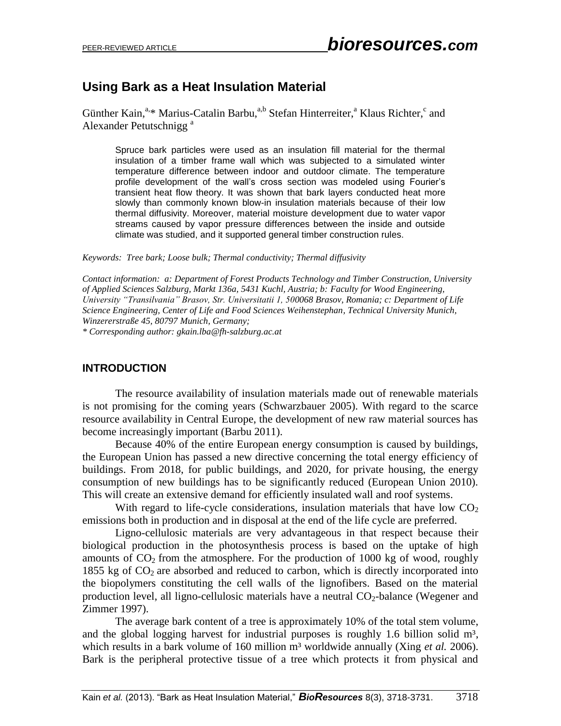# **Using Bark as a Heat Insulation Material**

Günther Kain,<sup>a,\*</sup> Marius-Catalin Barbu,<sup>a,b</sup> Stefan Hinterreiter,<sup>a</sup> Klaus Richter,<sup>c</sup> and Alexander Petutschnigg<sup>a</sup>

Spruce bark particles were used as an insulation fill material for the thermal insulation of a timber frame wall which was subjected to a simulated winter temperature difference between indoor and outdoor climate. The temperature profile development of the wall's cross section was modeled using Fourier's transient heat flow theory. It was shown that bark layers conducted heat more slowly than commonly known blow-in insulation materials because of their low thermal diffusivity. Moreover, material moisture development due to water vapor streams caused by vapor pressure differences between the inside and outside climate was studied, and it supported general timber construction rules.

*Keywords: Tree bark; Loose bulk; Thermal conductivity; Thermal diffusivity*

*Contact information: a: Department of Forest Products Technology and Timber Construction, University of Applied Sciences Salzburg, Markt 136a, 5431 Kuchl, Austria; b: Faculty for Wood Engineering, University "Transilvania" Brasov, Str. Universitatii 1, 500068 Brasov, Romania; c: Department of Life Science Engineering, Center of Life and Food Sciences Weihenstephan, Technical University Munich, Winzererstraße 45, 80797 Munich, Germany;* 

*\* Corresponding author: gkain.lba@fh-salzburg.ac.at*

### **INTRODUCTION**

The resource availability of insulation materials made out of renewable materials is not promising for the coming years (Schwarzbauer 2005). With regard to the scarce resource availability in Central Europe, the development of new raw material sources has become increasingly important (Barbu 2011).

Because 40% of the entire European energy consumption is caused by buildings, the European Union has passed a new directive concerning the total energy efficiency of buildings. From 2018, for public buildings, and 2020, for private housing, the energy consumption of new buildings has to be significantly reduced (European Union 2010). This will create an extensive demand for efficiently insulated wall and roof systems.

With regard to life-cycle considerations, insulation materials that have low  $CO<sub>2</sub>$ emissions both in production and in disposal at the end of the life cycle are preferred.

Ligno-cellulosic materials are very advantageous in that respect because their biological production in the photosynthesis process is based on the uptake of high amounts of  $CO<sub>2</sub>$  from the atmosphere. For the production of 1000 kg of wood, roughly 1855 kg of  $CO<sub>2</sub>$  are absorbed and reduced to carbon, which is directly incorporated into the biopolymers constituting the cell walls of the lignofibers. Based on the material production level, all ligno-cellulosic materials have a neutral  $CO<sub>2</sub>$ -balance (Wegener and Zimmer 1997).

The average bark content of a tree is approximately 10% of the total stem volume, and the global logging harvest for industrial purposes is roughly 1.6 billion solid  $m^3$ , which results in a bark volume of 160 million m<sup>3</sup> worldwide annually (Xing *et al.* 2006). Bark is the peripheral protective tissue of a tree which protects it from physical and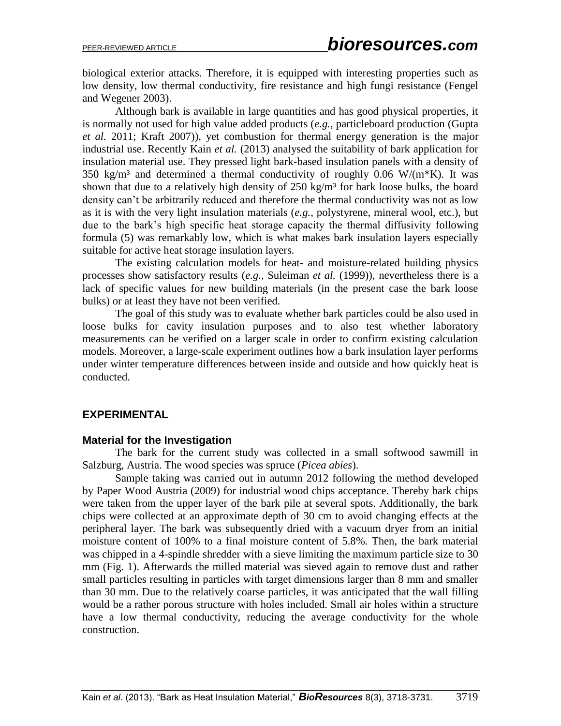biological exterior attacks. Therefore, it is equipped with interesting properties such as low density, low thermal conductivity, fire resistance and high fungi resistance (Fengel and Wegener 2003).

Although bark is available in large quantities and has good physical properties, it is normally not used for high value added products (*e.g.*, particleboard production (Gupta *et al.* 2011; Kraft 2007)), yet combustion for thermal energy generation is the major industrial use. Recently Kain *et al.* (2013) analysed the suitability of bark application for insulation material use. They pressed light bark-based insulation panels with a density of 350 kg/m<sup>3</sup> and determined a thermal conductivity of roughly 0.06 W/(m<sup>\*</sup>K). It was shown that due to a relatively high density of  $250 \text{ kg/m}^3$  for bark loose bulks, the board density can't be arbitrarily reduced and therefore the thermal conductivity was not as low as it is with the very light insulation materials (*e.g.,* polystyrene, mineral wool, etc.), but due to the bark's high specific heat storage capacity the thermal diffusivity following formula [\(5\)](#page-3-0) was remarkably low, which is what makes bark insulation layers especially suitable for active heat storage insulation layers.

The existing calculation models for heat- and moisture-related building physics processes show satisfactory results (*e.g.*, Suleiman *et al.* (1999)), nevertheless there is a lack of specific values for new building materials (in the present case the bark loose bulks) or at least they have not been verified.

The goal of this study was to evaluate whether bark particles could be also used in loose bulks for cavity insulation purposes and to also test whether laboratory measurements can be verified on a larger scale in order to confirm existing calculation models. Moreover, a large-scale experiment outlines how a bark insulation layer performs under winter temperature differences between inside and outside and how quickly heat is conducted.

# **EXPERIMENTAL**

#### **Material for the Investigation**

The bark for the current study was collected in a small softwood sawmill in Salzburg, Austria. The wood species was spruce (*Picea abies*).

Sample taking was carried out in autumn 2012 following the method developed by Paper Wood Austria (2009) for industrial wood chips acceptance. Thereby bark chips were taken from the upper layer of the bark pile at several spots. Additionally, the bark chips were collected at an approximate depth of 30 cm to avoid changing effects at the peripheral layer. The bark was subsequently dried with a vacuum dryer from an initial moisture content of 100% to a final moisture content of 5.8%. Then, the bark material was chipped in a 4-spindle shredder with a sieve limiting the maximum particle size to 30 mm (Fig. 1). Afterwards the milled material was sieved again to remove dust and rather small particles resulting in particles with target dimensions larger than 8 mm and smaller than 30 mm. Due to the relatively coarse particles, it was anticipated that the wall filling would be a rather porous structure with holes included. Small air holes within a structure have a low thermal conductivity, reducing the average conductivity for the whole construction.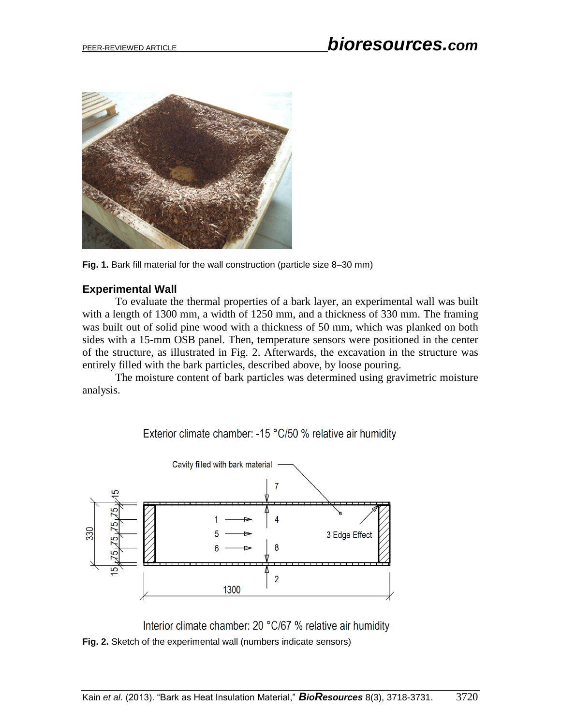

**Fig. 1.** Bark fill material for the wall construction (particle size 8–30 mm)

# **Experimental Wall**

To evaluate the thermal properties of a bark layer, an experimental wall was built with a length of 1300 mm, a width of 1250 mm, and a thickness of 330 mm. The framing was built out of solid pine wood with a thickness of 50 mm, which was planked on both sides with a 15-mm OSB panel. Then, temperature sensors were positioned in the center of the structure, as illustrated in Fig. 2. Afterwards, the excavation in the structure was entirely filled with the bark particles, described above, by loose pouring.

The moisture content of bark particles was determined using gravimetric moisture analysis.

Exterior climate chamber: -15 °C/50 % relative air humidity



Interior climate chamber: 20 °C/67 % relative air humidity **Fig. 2.** Sketch of the experimental wall (numbers indicate sensors)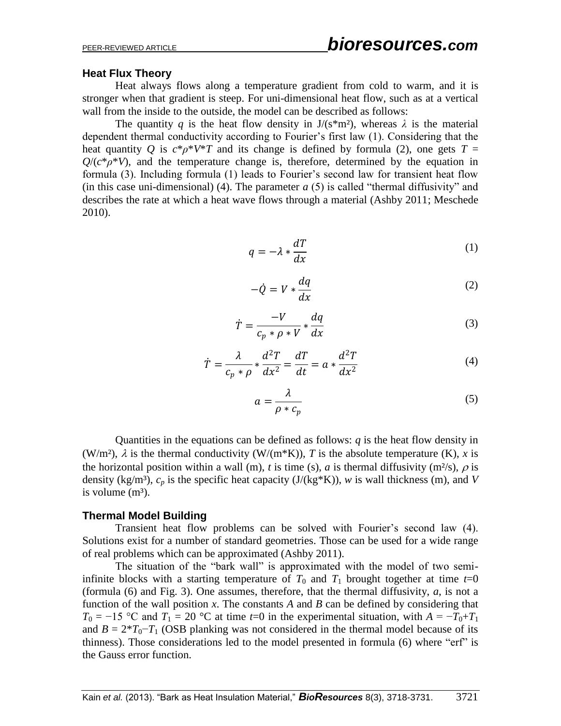#### **Heat Flux Theory**

Heat always flows along a temperature gradient from cold to warm, and it is stronger when that gradient is steep. For uni-dimensional heat flow, such as at a vertical wall from the inside to the outside, the model can be described as follows:

The quantity *q* is the heat flow density in  $J/(s*m^2)$ , whereas  $\lambda$  is the material dependent thermal conductivity according to Fourier's first law (1). Considering that the heat quantity *Q* is  $c^*\rho^*V^*T$  and its change is defined by formula (2), one gets  $T =$  $Q/(c^*\rho^*V)$ , and the temperature change is, therefore, determined by the equation in formula (3). Including formula (1) leads to Fourier's second law for transient heat flow (in this case uni-dimensional) (4). The parameter  $a(5)$  is called "thermal diffusivity" and describes the rate at which a heat wave flows through a material (Ashby 2011; Meschede 2010).

$$
q = -\lambda * \frac{dT}{dx} \tag{1}
$$

$$
-\dot{Q} = V * \frac{dq}{dx} \tag{2}
$$

$$
\dot{T} = \frac{-V}{c_p * \rho * V} * \frac{dq}{dx} \tag{3}
$$

$$
\dot{T} = \frac{\lambda}{c_p * \rho} * \frac{d^2 T}{dx^2} = \frac{dT}{dt} = a * \frac{d^2 T}{dx^2}
$$
(4)

<span id="page-3-0"></span>
$$
a = \frac{\lambda}{\rho * c_p} \tag{5}
$$

Quantities in the equations can be defined as follows:  $q$  is the heat flow density in (W/m<sup>2</sup>),  $\lambda$  is the thermal conductivity (W/(m<sup>\*</sup>K)), *T* is the absolute temperature (K), *x* is the horizontal position within a wall (m), *t* is time (s), *a* is thermal diffusivity (m<sup>2</sup>/s),  $\rho$  is density (kg/m<sup>3</sup>),  $c_p$  is the specific heat capacity (J/(kg\*K)), *w* is wall thickness (m), and *V* is volume  $(m<sup>3</sup>)$ .

#### **Thermal Model Building**

Transient heat flow problems can be solved with Fourier's second law (4). Solutions exist for a number of standard geometries. Those can be used for a wide range of real problems which can be approximated (Ashby 2011).

The situation of the "bark wall" is approximated with the model of two semiinfinite blocks with a starting temperature of  $T_0$  and  $T_1$  brought together at time  $t=0$ (formula [\(6\)](#page-4-0) and Fig. 3). One assumes, therefore, that the thermal diffusivity, *a*, is not a function of the wall position *x*. The constants *A* and *B* can be defined by considering that  $T_0 = -15$  °C and  $T_1 = 20$  °C at time  $t=0$  in the experimental situation, with  $A = -T_0 + T_1$ and  $B = 2*T_0-T_1$  (OSB planking was not considered in the thermal model because of its thinness). Those considerations led to the model presented in formula [\(6\)](#page-4-0) where "erf" is the Gauss error function.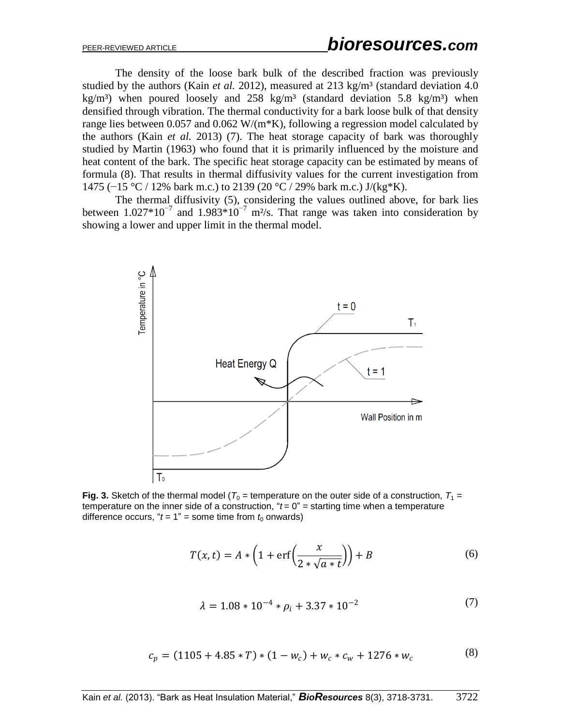The density of the loose bark bulk of the described fraction was previously studied by the authors (Kain *et al.* 2012), measured at 213 kg/m<sup>3</sup> (standard deviation 4.0) kg/m<sup>3</sup>) when poured loosely and 258 kg/m<sup>3</sup> (standard deviation 5.8 kg/m<sup>3</sup>) when densified through vibration. The thermal conductivity for a bark loose bulk of that density range lies between 0.057 and 0.062  $W/(m*K)$ , following a regression model calculated by the authors (Kain *et al.* 2013) [\(7\).](#page-4-1) The heat storage capacity of bark was thoroughly studied by Martin (1963) who found that it is primarily influenced by the moisture and heat content of the bark. The specific heat storage capacity can be estimated by means of formula [\(8\).](#page-4-2) That results in thermal diffusivity values for the current investigation from 1475 (−15 °C / 12% bark m.c.) to 2139 (20 °C / 29% bark m.c.) J/(kg\*K).

The thermal diffusivity (5), considering the values outlined above, for bark lies between 1.027\*10<sup>-7</sup> and 1.983\*10<sup>-7</sup> m<sup>2</sup>/s. That range was taken into consideration by showing a lower and upper limit in the thermal model.



**Fig. 3.** Sketch of the thermal model ( $T_0$  = temperature on the outer side of a construction,  $T_1$  = temperature on the inner side of a construction,  $i t = 0$ " = starting time when a temperature difference occurs, " $t = 1$ " = some time from  $t_0$  onwards)

$$
T(x,t) = A * \left(1 + \text{erf}\left(\frac{x}{2 * \sqrt{a * t}}\right)\right) + B
$$
 (6)

<span id="page-4-2"></span><span id="page-4-1"></span><span id="page-4-0"></span>
$$
\lambda = 1.08 \times 10^{-4} \times \rho_i + 3.37 \times 10^{-2} \tag{7}
$$

$$
c_p = (1105 + 4.85 * T) * (1 - w_c) + w_c * c_w + 1276 * w_c
$$
 (8)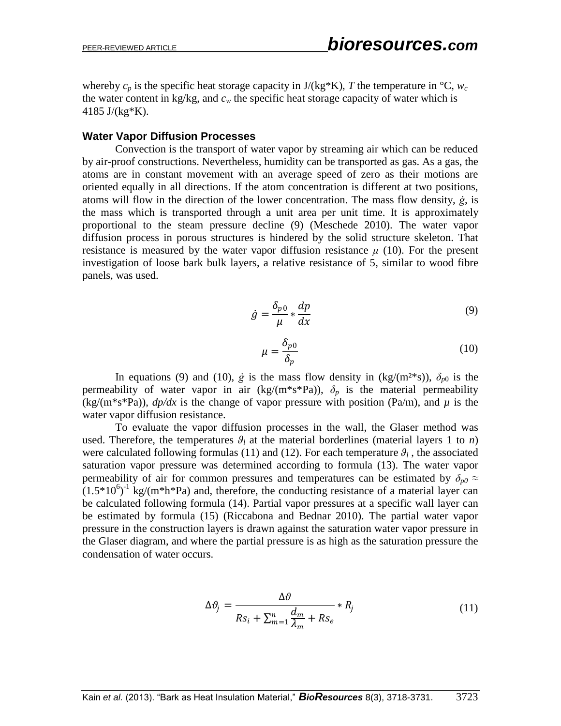whereby  $c_p$  is the specific heat storage capacity in  $J/(kg*K)$ , *T* the temperature in <sup>o</sup>C,  $w_c$ the water content in kg/kg, and  $c_w$  the specific heat storage capacity of water which is 4185 J/(kg\*K).

#### **Water Vapor Diffusion Processes**

Convection is the transport of water vapor by streaming air which can be reduced by air-proof constructions. Nevertheless, humidity can be transported as gas. As a gas, the atoms are in constant movement with an average speed of zero as their motions are oriented equally in all directions. If the atom concentration is different at two positions, atoms will flow in the direction of the lower concentration. The mass flow density, *ġ*, is the mass which is transported through a unit area per unit time. It is approximately proportional to the steam pressure decline [\(9\)](#page-5-0) (Meschede 2010). The water vapor diffusion process in porous structures is hindered by the solid structure skeleton. That resistance is measured by the water vapor diffusion resistance  $\mu$  [\(10\).](#page-5-1) For the present investigation of loose bark bulk layers, a relative resistance of 5, similar to wood fibre panels, was used.

$$
\dot{g} = \frac{\delta_{p0}}{\mu} * \frac{dp}{dx} \tag{9}
$$

<span id="page-5-1"></span><span id="page-5-0"></span>
$$
\mu = \frac{\delta_{p0}}{\delta_p} \tag{10}
$$

In equations [\(9\)](#page-5-0) and [\(10\),](#page-5-1)  $\dot{g}$  is the mass flow density in (kg/(m<sup>2\*</sup>s)),  $\delta_{p0}$  is the permeability of water vapor in air (kg/(m<sup>\*</sup>s<sup>\*</sup>Pa)),  $\delta_p$  is the material permeability  $(kg/(m*s*Pa))$ ,  $dp/dx$  is the change of vapor pressure with position (Pa/m), and  $\mu$  is the water vapor diffusion resistance.

To evaluate the vapor diffusion processes in the wall, the Glaser method was used. Therefore, the temperatures  $\theta_l$  at the material borderlines (material layers 1 to *n*) were calculated following formulas [\(11\)](#page-5-2) and [\(12\)](#page-6-0). For each temperature  $\theta_l$ , the associated saturation vapor pressure was determined according to formula [\(13\).](#page-6-1) The water vapor permeability of air for common pressures and temperatures can be estimated by  $\delta_{p0} \approx$  $(1.5*10<sup>6</sup>)<sup>-1</sup>$  kg/(m\*h\*Pa) and, therefore, the conducting resistance of a material layer can be calculated following formula [\(14\).](#page-6-2) Partial vapor pressures at a specific wall layer can be estimated by formula [\(15\)](#page-6-3) (Riccabona and Bednar 2010). The partial water vapor pressure in the construction layers is drawn against the saturation water vapor pressure in the Glaser diagram, and where the partial pressure is as high as the saturation pressure the condensation of water occurs.

<span id="page-5-2"></span>
$$
\Delta \vartheta_j = \frac{\Delta \vartheta}{Rs_i + \sum_{m=1}^n \frac{d_m}{\lambda_m} + Rs_e} * R_j \tag{11}
$$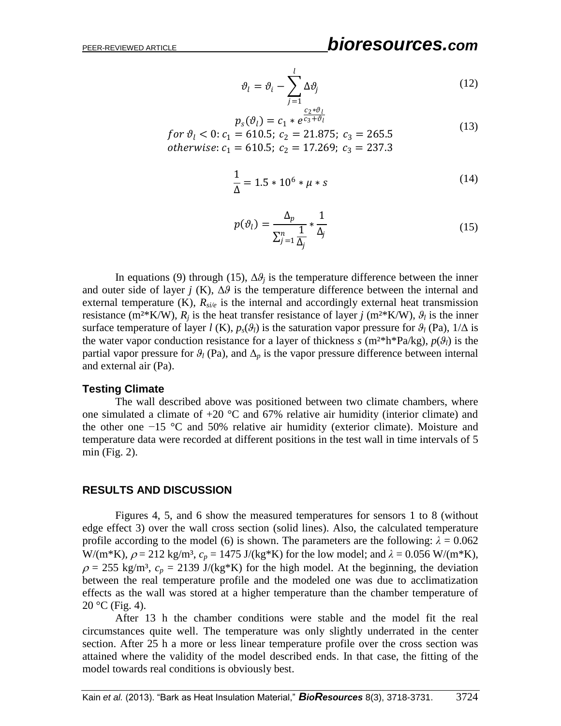<span id="page-6-1"></span><span id="page-6-0"></span>
$$
\vartheta_l = \vartheta_i - \sum_{j=1}^l \Delta \vartheta_j
$$
\n
$$
c_{2} * \vartheta_l
$$
\n(12)

$$
p_s(\vartheta_l) = c_1 * e^{\overline{c_3 + \vartheta_l}}
$$
  
for  $\vartheta_l < 0$ :  $c_1 = 610.5$ ;  $c_2 = 21.875$ ;  $c_3 = 265.5$   
otherwise:  $c_1 = 610.5$ ;  $c_2 = 17.269$ ;  $c_3 = 237.3$  (13)

<span id="page-6-2"></span>
$$
\frac{1}{\Delta} = 1.5 * 10^6 * \mu * s \tag{14}
$$

<span id="page-6-3"></span>
$$
p(\vartheta_l) = \frac{\Delta_p}{\sum_{j=1}^n \frac{1}{\Delta_j}} * \frac{1}{\Delta_j}
$$
 (15)

In equations [\(9\)](#page-5-0) through [\(15\),](#page-6-3)  $\Delta\theta_i$  is the temperature difference between the inner and outer side of layer *j* (K),  $\Delta\theta$  is the temperature difference between the internal and external temperature  $(K)$ ,  $R_{si/e}$  is the internal and accordingly external heat transmission resistance (m<sup>2</sup>\*K/W),  $R_i$  is the heat transfer resistance of layer *j* (m<sup>2</sup>\*K/W),  $\theta_i$  is the inner surface temperature of layer *l* (K),  $p_s(\theta_l)$  is the saturation vapor pressure for  $\theta_l$  (Pa),  $1/\Delta$  is the water vapor conduction resistance for a layer of thickness  $s$  (m<sup>2\*</sup>h<sup>\*</sup>Pa/kg),  $p(\theta_i)$  is the partial vapor pressure for  $\mathcal{G}_l$  (Pa), and  $\Delta_p$  is the vapor pressure difference between internal and external air (Pa).

#### **Testing Climate**

The wall described above was positioned between two climate chambers, where one simulated a climate of  $+20$  °C and 67% relative air humidity (interior climate) and the other one −15 °C and 50% relative air humidity (exterior climate). Moisture and temperature data were recorded at different positions in the test wall in time intervals of 5 min (Fig. 2).

#### **RESULTS AND DISCUSSION**

Figures 4, 5, and 6 show the measured temperatures for sensors 1 to 8 (without edge effect 3) over the wall cross section (solid lines). Also, the calculated temperature profile according to the model [\(6\)](#page-4-0) is shown. The parameters are the following:  $\lambda = 0.062$ W/(m<sup>\*</sup>K),  $\rho = 212 \text{ kg/m}^3$ ,  $c_p = 1475 \text{ J/(kg*K)}$  for the low model; and  $\lambda = 0.056 \text{ W/(m*K)}$ ,  $\rho = 255$  kg/m<sup>3</sup>,  $c_p = 2139$  J/(kg\*K) for the high model. At the beginning, the deviation between the real temperature profile and the modeled one was due to acclimatization effects as the wall was stored at a higher temperature than the chamber temperature of  $20 °C$  (Fig. 4).

After 13 h the chamber conditions were stable and the model fit the real circumstances quite well. The temperature was only slightly underrated in the center section. After 25 h a more or less linear temperature profile over the cross section was attained where the validity of the model described ends. In that case, the fitting of the model towards real conditions is obviously best.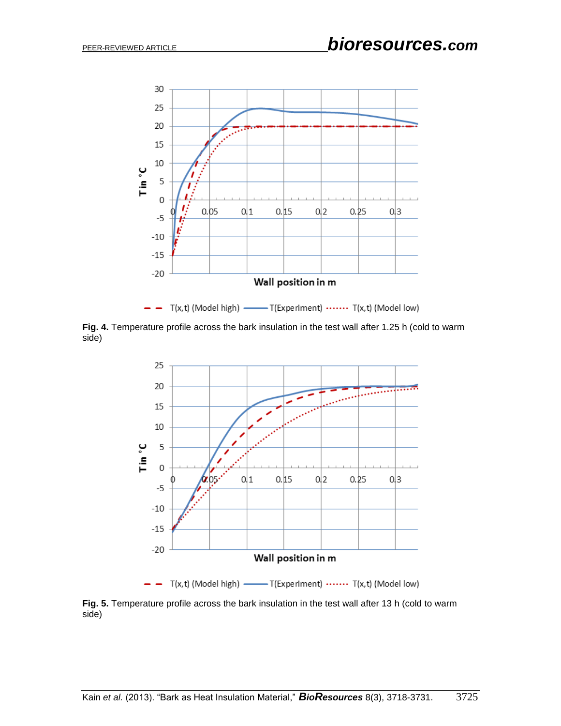

 $-$  T(x,t) (Model high) — T(Experiment) …… T(x,t) (Model low)

**Fig. 4.** Temperature profile across the bark insulation in the test wall after 1.25 h (cold to warm side)



**Fig. 5.** Temperature profile across the bark insulation in the test wall after 13 h (cold to warm side)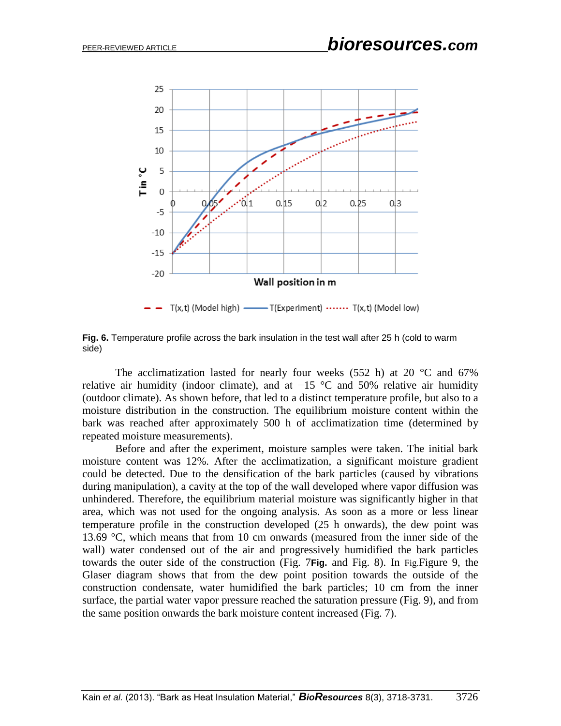

**Fig. 6.** Temperature profile across the bark insulation in the test wall after 25 h (cold to warm side)

The acclimatization lasted for nearly four weeks  $(552 h)$  at  $20 °C$  and  $67%$ relative air humidity (indoor climate), and at  $-15$  °C and 50% relative air humidity (outdoor climate). As shown before, that led to a distinct temperature profile, but also to a moisture distribution in the construction. The equilibrium moisture content within the bark was reached after approximately 500 h of acclimatization time (determined by repeated moisture measurements).

Before and after the experiment, moisture samples were taken. The initial bark moisture content was 12%. After the acclimatization, a significant moisture gradient could be detected. Due to the densification of the bark particles (caused by vibrations during manipulation), a cavity at the top of the wall developed where vapor diffusion was unhindered. Therefore, the equilibrium material moisture was significantly higher in that area, which was not used for the ongoing analysis. As soon as a more or less linear temperature profile in the construction developed (25 h onwards), the dew point was 13.69 °C, which means that from 10 cm onwards (measured from the inner side of the wall) water condensed out of the air and progressively humidified the bark particles towards the outer side of the construction (Fig. 7**[Fig.](#page-9-0)** and Fig. 8). In [Fig.](#page-10-0)Figure 9, the Glaser diagram shows that from the dew point position towards the outside of the construction condensate, water humidified the bark particles; 10 cm from the inner surface, the partial water vapor pressure reached the saturation pressure (Fig. 9), and from the same position onwards the bark moisture content increased (Fig. 7).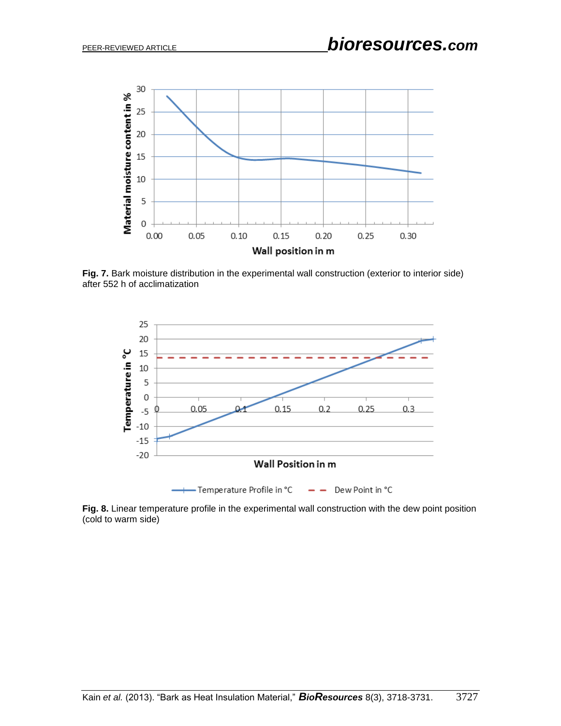

<span id="page-9-0"></span>**Fig. 7.** Bark moisture distribution in the experimental wall construction (exterior to interior side) after 552 h of acclimatization



**Fig. 8.** Linear temperature profile in the experimental wall construction with the dew point position (cold to warm side)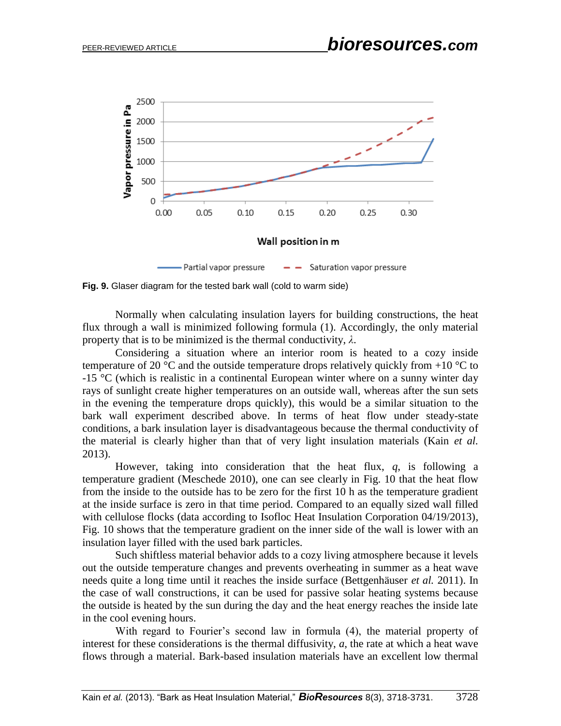

<span id="page-10-0"></span>**Fig. 9.** Glaser diagram for the tested bark wall (cold to warm side)

Normally when calculating insulation layers for building constructions, the heat flux through a wall is minimized following formula (1). Accordingly, the only material property that is to be minimized is the thermal conductivity, *λ*.

Considering a situation where an interior room is heated to a cozy inside temperature of 20  $\degree$ C and the outside temperature drops relatively quickly from +10  $\degree$ C to  $-15$  °C (which is realistic in a continental European winter where on a sunny winter day rays of sunlight create higher temperatures on an outside wall, whereas after the sun sets in the evening the temperature drops quickly), this would be a similar situation to the bark wall experiment described above. In terms of heat flow under steady-state conditions, a bark insulation layer is disadvantageous because the thermal conductivity of the material is clearly higher than that of very light insulation materials (Kain *et al.* 2013).

However, taking into consideration that the heat flux, *q*, is following a temperature gradient (Meschede 2010), one can see clearly in Fig. 10 that the heat flow from the inside to the outside has to be zero for the first 10 h as the temperature gradient at the inside surface is zero in that time period. Compared to an equally sized wall filled with cellulose flocks (data according to Isofloc Heat Insulation Corporation 04/19/2013), Fig. 10 shows that the temperature gradient on the inner side of the wall is lower with an insulation layer filled with the used bark particles.

Such shiftless material behavior adds to a cozy living atmosphere because it levels out the outside temperature changes and prevents overheating in summer as a heat wave needs quite a long time until it reaches the inside surface (Bettgenhäuser *et al.* 2011). In the case of wall constructions, it can be used for passive solar heating systems because the outside is heated by the sun during the day and the heat energy reaches the inside late in the cool evening hours.

With regard to Fourier's second law in formula (4), the material property of interest for these considerations is the thermal diffusivity, *a*, the rate at which a heat wave flows through a material. Bark-based insulation materials have an excellent low thermal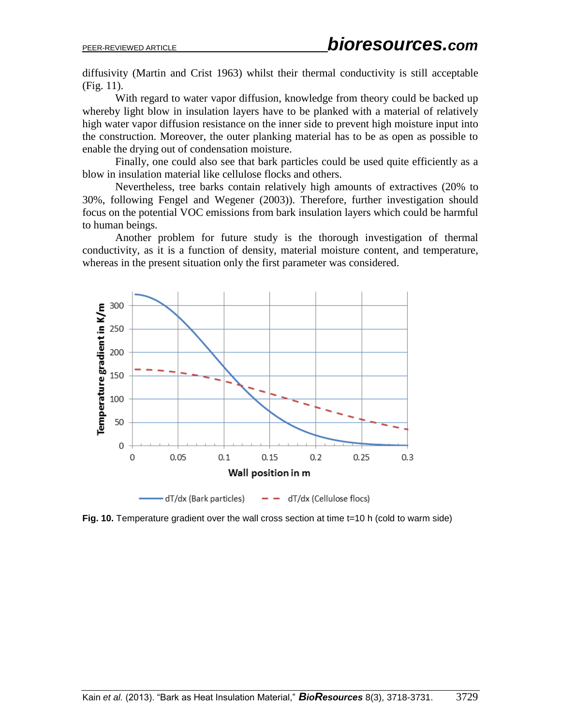diffusivity (Martin and Crist 1963) whilst their thermal conductivity is still acceptable [\(Fig.](#page-12-0) 11).

With regard to water vapor diffusion, knowledge from theory could be backed up whereby light blow in insulation layers have to be planked with a material of relatively high water vapor diffusion resistance on the inner side to prevent high moisture input into the construction. Moreover, the outer planking material has to be as open as possible to enable the drying out of condensation moisture.

Finally, one could also see that bark particles could be used quite efficiently as a blow in insulation material like cellulose flocks and others.

Nevertheless, tree barks contain relatively high amounts of extractives (20% to 30%, following Fengel and Wegener (2003)). Therefore, further investigation should focus on the potential VOC emissions from bark insulation layers which could be harmful to human beings.

Another problem for future study is the thorough investigation of thermal conductivity, as it is a function of density, material moisture content, and temperature, whereas in the present situation only the first parameter was considered.



**Fig. 10.** Temperature gradient over the wall cross section at time t=10 h (cold to warm side)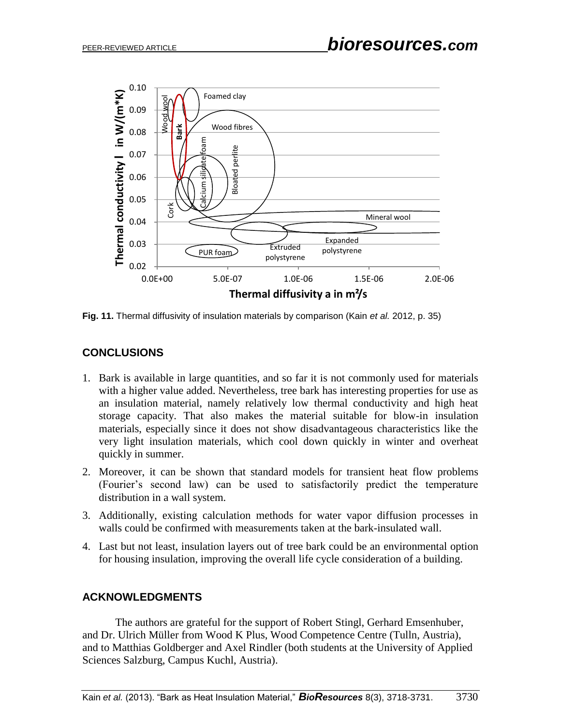

<span id="page-12-0"></span>**Fig. 11.** Thermal diffusivity of insulation materials by comparison (Kain *et al.* 2012, p. 35)

# **CONCLUSIONS**

- 1. Bark is available in large quantities, and so far it is not commonly used for materials with a higher value added. Nevertheless, tree bark has interesting properties for use as an insulation material, namely relatively low thermal conductivity and high heat storage capacity. That also makes the material suitable for blow-in insulation materials, especially since it does not show disadvantageous characteristics like the very light insulation materials, which cool down quickly in winter and overheat quickly in summer.
- 2. Moreover, it can be shown that standard models for transient heat flow problems (Fourier's second law) can be used to satisfactorily predict the temperature distribution in a wall system.
- 3. Additionally, existing calculation methods for water vapor diffusion processes in walls could be confirmed with measurements taken at the bark-insulated wall.
- 4. Last but not least, insulation layers out of tree bark could be an environmental option for housing insulation, improving the overall life cycle consideration of a building.

# **ACKNOWLEDGMENTS**

The authors are grateful for the support of Robert Stingl, Gerhard Emsenhuber, and Dr. Ulrich Müller from Wood K Plus, Wood Competence Centre (Tulln, Austria), and to Matthias Goldberger and Axel Rindler (both students at the University of Applied Sciences Salzburg, Campus Kuchl, Austria).